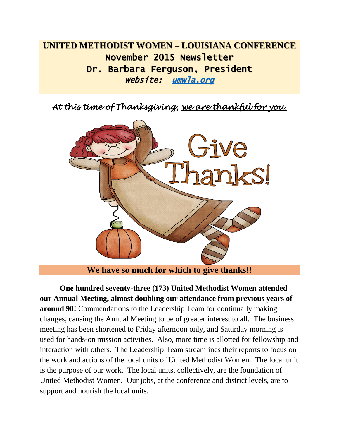# **UNITED METHODIST WOMEN – LOUISIANA CONFERENCE** November 2015 Newsletter Dr. Barbara Ferguson, President Website: <u>umwla.org</u>

*At this time of Thanksgiving, we are thankful for you.* 



**We have so much for which to give thanks!!**

**One hundred seventy-three (173) United Methodist Women attended our Annual Meeting, almost doubling our attendance from previous years of around 90!** Commendations to the Leadership Team for continually making changes, causing the Annual Meeting to be of greater interest to all. The business meeting has been shortened to Friday afternoon only, and Saturday morning is used for hands-on mission activities. Also, more time is allotted for fellowship and interaction with others. The Leadership Team streamlines their reports to focus on the work and actions of the local units of United Methodist Women. The local unit is the purpose of our work. The local units, collectively, are the foundation of United Methodist Women. Our jobs, at the conference and district levels, are to support and nourish the local units.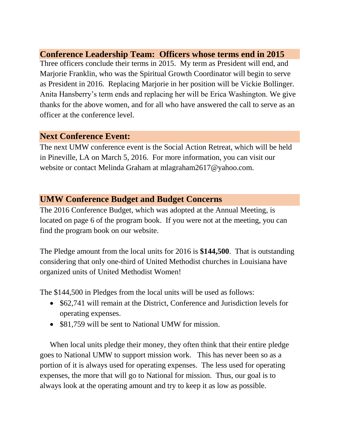## **Conference Leadership Team: Officers whose terms end in 2015**

Three officers conclude their terms in 2015. My term as President will end, and Marjorie Franklin, who was the Spiritual Growth Coordinator will begin to serve as President in 2016. Replacing Marjorie in her position will be Vickie Bollinger. Anita Hansberry's term ends and replacing her will be Erica Washington. We give thanks for the above women, and for all who have answered the call to serve as an officer at the conference level.

#### **Next Conference Event:**

The next UMW conference event is the Social Action Retreat, which will be held in Pineville, LA on March 5, 2016. For more information, you can visit our website or contact Melinda Graham at [mlagraham2617@yahoo.com.](mailto:mlagraham2617@yahoo.com)

### **UMW Conference Budget and Budget Concerns**

The 2016 Conference Budget, which was adopted at the Annual Meeting, is located on page 6 of the program book. If you were not at the meeting, you can find the program book on our website.

The Pledge amount from the local units for 2016 is **\$144,500**. That is outstanding considering that only one-third of United Methodist churches in Louisiana have organized units of United Methodist Women!

The \$144,500 in Pledges from the local units will be used as follows:

- \$62,741 will remain at the District, Conference and Jurisdiction levels for operating expenses.
- \$81,759 will be sent to National UMW for mission.

When local units pledge their money, they often think that their entire pledge goes to National UMW to support mission work. This has never been so as a portion of it is always used for operating expenses. The less used for operating expenses, the more that will go to National for mission. Thus, our goal is to always look at the operating amount and try to keep it as low as possible.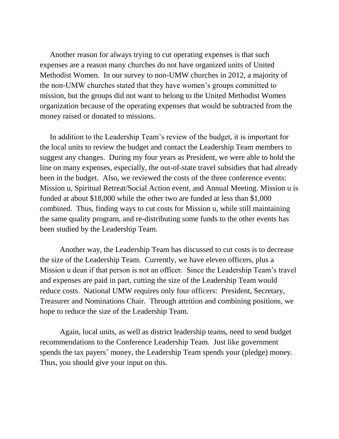Another reason for always trying to cut operating expenses is that such expenses are a reason many churches do not have organized units of United Methodist Women. In our survey to non-UMW churches in 2012, a majority of the non-UMW churches stated that they have women's groups committed to mission, but the groups did not want to belong to the United Methodist Women organization because of the operating expenses that would be subtracted from the money raised or donated to missions.

In addition to the Leadership Team's review of the budget, it is important for the local units to review the budget and contact the Leadership Team members to suggest any changes. During my four years as President, we were able to hold the line on many expenses, especially, the out-of-state travel subsidies that had already been in the budget. Also, we reviewed the costs of the three conference events: Mission u, Spiritual Retreat/Social Action event, and Annual Meeting. Mission u is funded at about \$18,000 while the other two are funded at less than \$1,000 combined. Thus, finding ways to cut costs for Mission u, while still maintaining the same quality program, and re-distributing some funds to the other events has been studied by the Leadership Team.

Another way, the Leadership Team has discussed to cut costs is to decrease the size of the Leadership Team. Currently, we have eleven officers, plus a Mission u dean if that person is not an officer. Since the Leadership Team's travel and expenses are paid in part, cutting the size of the Leadership Team would reduce costs. National UMW requires only four officers: President, Secretary, Treasurer and Nominations Chair. Through attrition and combining positions, we hope to reduce the size of the Leadership Team.

Again, local units, as well as district leadership teams, need to send budget recommendations to the Conference Leadership Team. Just like government spends the tax payers' money, the Leadership Team spends your (pledge) money. Thus, you should give your input on this.